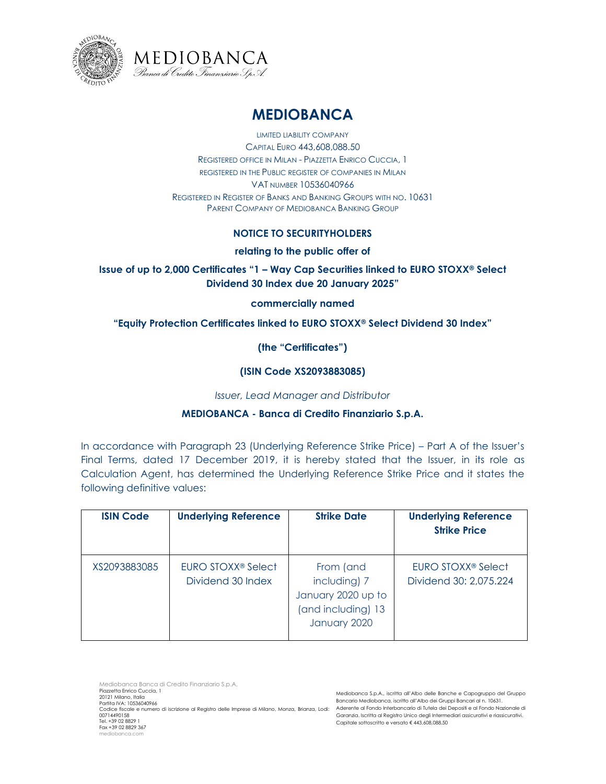



# **MEDIOBANCA**

LIMITED LIABILITY COMPANY CAPITAL EURO 443,608,088.50 REGISTERED OFFICE IN MILAN - PIAZZETTA ENRICO CUCCIA, 1 REGISTERED IN THE PUBLIC REGISTER OF COMPANIES IN MILAN VAT NUMBER 10536040966 REGISTERED IN REGISTER OF BANKS AND BANKING GROUPS WITH NO. 10631 PARENT COMPANY OF MEDIOBANCA BANKING GROUP

## **NOTICE TO SECURITYHOLDERS**

#### **relating to the public offer of**

# **Issue of up to 2,000 Certificates "1 – Way Cap Securities linked to EURO STOXX® Select Dividend 30 Index due 20 January 2025"**

#### **commercially named**

## **"Equity Protection Certificates linked to EURO STOXX® Select Dividend 30 Index"**

**(the "Certificates")**

#### **(ISIN Code XS2093883085)**

*Issuer, Lead Manager and Distributor*

## **MEDIOBANCA - Banca di Credito Finanziario S.p.A.**

In accordance with Paragraph 23 (Underlying Reference Strike Price) – Part A of the Issuer's Final Terms, dated 17 December 2019, it is hereby stated that the Issuer, in its role as Calculation Agent, has determined the Underlying Reference Strike Price and it states the following definitive values:

| <b>ISIN Code</b> | <b>Underlying Reference</b>                         | <b>Strike Date</b>                                                                    | <b>Underlying Reference</b><br><b>Strike Price</b>       |
|------------------|-----------------------------------------------------|---------------------------------------------------------------------------------------|----------------------------------------------------------|
| XS2093883085     | EURO STOXX <sup>®</sup> Select<br>Dividend 30 Index | From (and<br>including) 7<br>January 2020 up to<br>(and including) 13<br>January 2020 | EURO STOXX <sup>®</sup> Select<br>Dividend 30: 2,075.224 |

Mediobanca Banca di Credito Finanziario S.p.A. Piazzetta Enrico Cuccia, 1 20121 Milano, Italia Partita IVA: 10536040966 Codice fiscale e numero di iscrizione al Registro delle Imprese di Milano, Monza, Brianza, Lodi: Aderente al Fondo Interbancario di Tutela dei Depositi e al Fondo Nazionale di 00714490158 Tel. +39 02 8829 1 Fax +39 02 8829 367 mediobanca.c

Mediobanca S.p.A., iscritta all'Albo delle Banche e Capogruppo del Gruppo Bancario Mediobanca, iscritto all'Albo dei Gruppi Bancari al n. 10631. Garanzia. Iscritta al Registro Unico degli Intermediari assicurativi e riassicurativi. Capitale sottoscritto e versato € 443,608,088.50